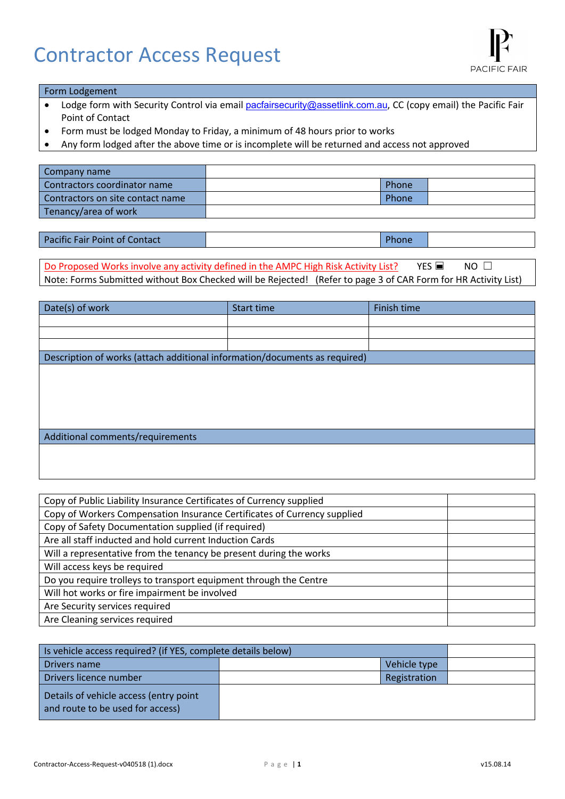# Contractor Access Request

#### Form Lodgement

- Lodge form with Security Control via email pacfairsecurity@assetlink.com.au, CC (copy email) the Pacific Fair Point of Contact
- Form must be lodged Monday to Friday, a minimum of 48 hours prior to works
- Any form lodged after the above time or is incomplete will be returned and access not approved

| Company name                     |       |  |
|----------------------------------|-------|--|
| Contractors coordinator name     | Phone |  |
| Contractors on site contact name | Phone |  |
| Tenancy/area of work             |       |  |

| <b>Pacific Fair Point of Contact</b> | Phone |
|--------------------------------------|-------|
|                                      |       |

Do Proposed Works involve any activity defined in the AMPC High Risk Activity List? YES  $\blacksquare$  NO  $\Box$ Note: Forms Submitted without Box Checked will be Rejected! (Refer to page 3 of CAR Form for HR Activity List)

| Date(s) of work                                                            | Start time | Finish time |
|----------------------------------------------------------------------------|------------|-------------|
|                                                                            |            |             |
|                                                                            |            |             |
|                                                                            |            |             |
| Description of works (attach additional information/documents as required) |            |             |
|                                                                            |            |             |
|                                                                            |            |             |
|                                                                            |            |             |
|                                                                            |            |             |
|                                                                            |            |             |
| Additional comments/requirements                                           |            |             |
|                                                                            |            |             |
|                                                                            |            |             |

| Copy of Public Liability Insurance Certificates of Currency supplied     |  |
|--------------------------------------------------------------------------|--|
| Copy of Workers Compensation Insurance Certificates of Currency supplied |  |
| Copy of Safety Documentation supplied (if required)                      |  |
| Are all staff inducted and hold current Induction Cards                  |  |
| Will a representative from the tenancy be present during the works       |  |
| Will access keys be required                                             |  |
| Do you require trolleys to transport equipment through the Centre        |  |
| Will hot works or fire impairment be involved                            |  |
| Are Security services required                                           |  |
| Are Cleaning services required                                           |  |

| Is vehicle access required? (if YES, complete details below)               |              |  |
|----------------------------------------------------------------------------|--------------|--|
| Drivers name                                                               | Vehicle type |  |
| Drivers licence number                                                     | Registration |  |
| Details of vehicle access (entry point<br>and route to be used for access) |              |  |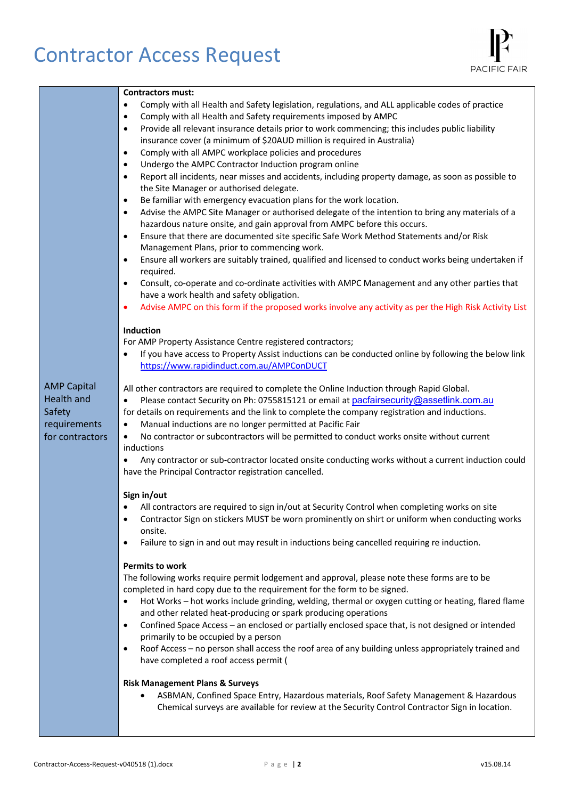# Contractor Access Request

| <b>Contractors must:</b>                                                                                                                                                                                                                                                                                                                                                                                                                                                                                                                                                                                                                                                                                                                                                                                                                                                                                                                                                                                                                                                                                                                                                                                                                                                                                                                                                                                                                                                                                                                                                                                                                                                                                                                                                                                                                                                                                                                                                                                                                                                                                                                                                                                                                                                                                                                                                                                                                                                                                                                                                                                                                                                                                                                                                                                                                                                                                                                                                                                                                                                                                                                                                                                                                                                                                                                                                                                                                                                                                                                                                                                                                                                                                                                                                                                                                      |
|-----------------------------------------------------------------------------------------------------------------------------------------------------------------------------------------------------------------------------------------------------------------------------------------------------------------------------------------------------------------------------------------------------------------------------------------------------------------------------------------------------------------------------------------------------------------------------------------------------------------------------------------------------------------------------------------------------------------------------------------------------------------------------------------------------------------------------------------------------------------------------------------------------------------------------------------------------------------------------------------------------------------------------------------------------------------------------------------------------------------------------------------------------------------------------------------------------------------------------------------------------------------------------------------------------------------------------------------------------------------------------------------------------------------------------------------------------------------------------------------------------------------------------------------------------------------------------------------------------------------------------------------------------------------------------------------------------------------------------------------------------------------------------------------------------------------------------------------------------------------------------------------------------------------------------------------------------------------------------------------------------------------------------------------------------------------------------------------------------------------------------------------------------------------------------------------------------------------------------------------------------------------------------------------------------------------------------------------------------------------------------------------------------------------------------------------------------------------------------------------------------------------------------------------------------------------------------------------------------------------------------------------------------------------------------------------------------------------------------------------------------------------------------------------------------------------------------------------------------------------------------------------------------------------------------------------------------------------------------------------------------------------------------------------------------------------------------------------------------------------------------------------------------------------------------------------------------------------------------------------------------------------------------------------------------------------------------------------------------------------------------------------------------------------------------------------------------------------------------------------------------------------------------------------------------------------------------------------------------------------------------------------------------------------------------------------------------------------------------------------------------------------------------------------------------------------------------------------------|
| Comply with all Health and Safety legislation, regulations, and ALL applicable codes of practice<br>٠<br>Comply with all Health and Safety requirements imposed by AMPC<br>$\bullet$<br>Provide all relevant insurance details prior to work commencing; this includes public liability<br>$\bullet$<br>insurance cover (a minimum of \$20AUD million is required in Australia)<br>Comply with all AMPC workplace policies and procedures<br>$\bullet$<br>Undergo the AMPC Contractor Induction program online<br>$\bullet$<br>Report all incidents, near misses and accidents, including property damage, as soon as possible to<br>$\bullet$<br>the Site Manager or authorised delegate.<br>Be familiar with emergency evacuation plans for the work location.<br>$\bullet$<br>Advise the AMPC Site Manager or authorised delegate of the intention to bring any materials of a<br>$\bullet$<br>hazardous nature onsite, and gain approval from AMPC before this occurs.<br>Ensure that there are documented site specific Safe Work Method Statements and/or Risk<br>$\bullet$<br>Management Plans, prior to commencing work.<br>Ensure all workers are suitably trained, qualified and licensed to conduct works being undertaken if<br>$\bullet$<br>required.<br>Consult, co-operate and co-ordinate activities with AMPC Management and any other parties that<br>$\bullet$<br>have a work health and safety obligation.<br>Advise AMPC on this form if the proposed works involve any activity as per the High Risk Activity List<br>٠<br>Induction<br>For AMP Property Assistance Centre registered contractors;<br>If you have access to Property Assist inductions can be conducted online by following the below link<br>https://www.rapidinduct.com.au/AMPConDUCT<br><b>AMP Capital</b><br>All other contractors are required to complete the Online Induction through Rapid Global.<br><b>Health and</b><br>Please contact Security on Ph: 0755815121 or email at pacfairsecurity@assetlink.com.au<br>٠<br>Safety<br>for details on requirements and the link to complete the company registration and inductions.<br>Manual inductions are no longer permitted at Pacific Fair<br>requirements<br>$\bullet$<br>No contractor or subcontractors will be permitted to conduct works onsite without current<br>for contractors<br>$\bullet$<br>inductions<br>Any contractor or sub-contractor located onsite conducting works without a current induction could<br>٠<br>have the Principal Contractor registration cancelled.<br>Sign in/out<br>All contractors are required to sign in/out at Security Control when completing works on site<br>Contractor Sign on stickers MUST be worn prominently on shirt or uniform when conducting works<br>$\bullet$<br>onsite.<br>Failure to sign in and out may result in inductions being cancelled requiring re induction.<br>$\bullet$<br><b>Permits to work</b><br>The following works require permit lodgement and approval, please note these forms are to be<br>completed in hard copy due to the requirement for the form to be signed.<br>Hot Works - hot works include grinding, welding, thermal or oxygen cutting or heating, flared flame<br>$\bullet$<br>and other related heat-producing or spark producing operations<br>Confined Space Access - an enclosed or partially enclosed space that, is not designed or intended<br>$\bullet$<br>primarily to be occupied by a person<br>Roof Access - no person shall access the roof area of any building unless appropriately trained and<br>have completed a roof access permit (<br><b>Risk Management Plans &amp; Surveys</b><br>ASBMAN, Confined Space Entry, Hazardous materials, Roof Safety Management & Hazardous<br>Chemical surveys are available for review at the Security Control Contractor Sign in location. |